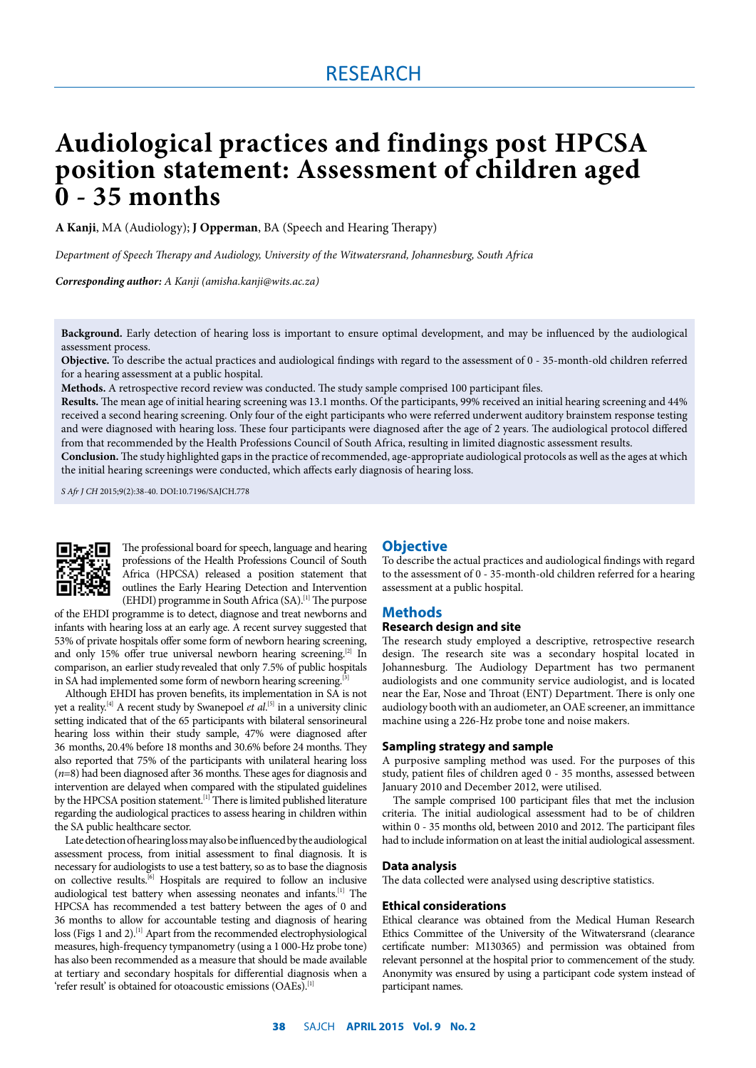### RESEARCH

# **Audiological practices and findings post HPCSA position statement: Assessment of children aged 0 - 35 months**

**A Kanji**, MA (Audiology); **J Opperman**, BA (Speech and Hearing Therapy)

*Department of Speech Therapy and Audiology, University of the Witwatersrand, Johannesburg, South Africa*

*Corresponding author: A Kanji (amisha.kanji@wits.ac.za)*

**Background.** Early detection of hearing loss is important to ensure optimal development, and may be influenced by the audiological assessment process.

**Objective.** To describe the actual practices and audiological findings with regard to the assessment of 0 - 35-month-old children referred for a hearing assessment at a public hospital.

**Methods.** A retrospective record review was conducted. The study sample comprised 100 participant files.

**Results.** The mean age of initial hearing screening was 13.1 months. Of the participants, 99% received an initial hearing screening and 44% received a second hearing screening. Only four of the eight participants who were referred underwent auditory brainstem response testing and were diagnosed with hearing loss. These four participants were diagnosed after the age of 2 years. The audiological protocol differed from that recommended by the Health Professions Council of South Africa, resulting in limited diagnostic assessment results.

**Conclusion.** The study highlighted gaps in the practice of recommended, age-appropriate audiological protocols as well as the ages at which the initial hearing screenings were conducted, which affects early diagnosis of hearing loss.

*S Afr J CH* 2015;9(2):38-40. DOI:10.7196/SAJCH.778



The professional board for speech, language and hearing professions of the Health Professions Council of South Africa (HPCSA) released a position statement that outlines the Early Hearing Detection and Intervention (EHDI) programme in South Africa  $(SA)$ .<sup>[1]</sup> The purpose

of the EHDI programme is to detect, diagnose and treat newborns and infants with hearing loss at an early age. A recent survey suggested that 53% of private hospitals offer some form of newborn hearing screening, and only 15% offer true universal newborn hearing screening.<sup>[2]</sup> In comparison, an earlier study revealed that only 7.5% of public hospitals in SA had implemented some form of newborn hearing screening.<sup>[3]</sup>

Although EHDI has proven benefits, its implementation in SA is not yet a reality.<sup>[4]</sup> A recent study by Swanepoel *et al*.<sup>[5]</sup> in a university clinic setting indicated that of the 65 participants with bilateral sensorineural hearing loss within their study sample, 47% were diagnosed after 36 months, 20.4% before 18 months and 30.6% before 24 months. They also reported that 75% of the participants with unilateral hearing loss (*n*=8) had been diagnosed after 36 months. These ages for diagnosis and intervention are delayed when compared with the stipulated guidelines by the HPCSA position statement.<sup>[1]</sup> There is limited published literature regarding the audiological practices to assess hearing in children within the SA public healthcare sector.

Late detection of hearing loss may also be influenced by the audiological assessment process, from initial assessment to final diagnosis. It is necessary for audiologists to use a test battery, so as to base the diagnosis on collective results.[6] Hospitals are required to follow an inclusive audiological test battery when assessing neonates and infants.[1] The HPCSA has recommended a test battery between the ages of 0 and 36 months to allow for accountable testing and diagnosis of hearing loss (Figs 1 and 2).<sup>[1]</sup> Apart from the recommended electrophysiological measures, high-frequency tympanometry (using a 1 000-Hz probe tone) has also been recommended as a measure that should be made available at tertiary and secondary hospitals for differential diagnosis when a 'refer result' is obtained for otoacoustic emissions (OAEs).<sup>[1]</sup>

### **Objective**

To describe the actual practices and audiological findings with regard to the assessment of 0 - 35-month-old children referred for a hearing assessment at a public hospital.

### **Methods**

### **Research design and site**

The research study employed a descriptive, retrospective research design. The research site was a secondary hospital located in Johannesburg. The Audiology Department has two permanent audiologists and one community service audiologist, and is located near the Ear, Nose and Throat (ENT) Department. There is only one audiology booth with an audiometer, an OAE screener, an immittance machine using a 226-Hz probe tone and noise makers.

### **Sampling strategy and sample**

A purposive sampling method was used. For the purposes of this study, patient files of children aged 0 - 35 months, assessed between January 2010 and December 2012, were utilised.

The sample comprised 100 participant files that met the inclusion criteria. The initial audiological assessment had to be of children within 0 - 35 months old, between 2010 and 2012. The participant files had to include information on at least the initial audiological assessment.

### **Data analysis**

The data collected were analysed using descriptive statistics.

### **Ethical considerations**

Ethical clearance was obtained from the Medical Human Research Ethics Committee of the University of the Witwatersrand (clearance certificate number: M130365) and permission was obtained from relevant personnel at the hospital prior to commencement of the study. Anonymity was ensured by using a participant code system instead of participant names.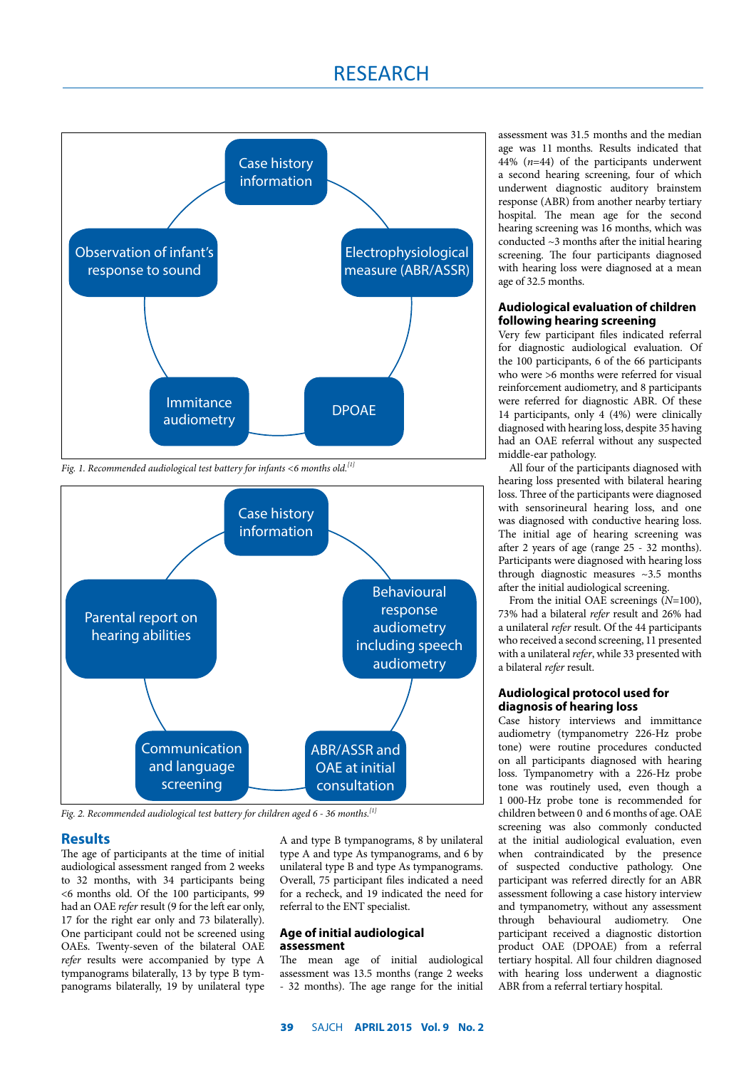## RESEARCH



*Fig. 1. Recommended audiological test battery for infants <6 months old.[1]*



*Fig. 2. Recommended audiological test battery for children aged 6 - 36 months.[1]*

### **Results**

The age of participants at the time of initial audiological assessment ranged from 2 weeks to 32 months, with 34 participants being <6 months old. Of the 100 participants, 99 had an OAE *refer* result (9 for the left ear only, 17 for the right ear only and 73 bilaterally). One participant could not be screened using OAEs. Twenty-seven of the bilateral OAE *refer* results were accompanied by type A tympanograms bilaterally, 13 by type B tympanograms bilaterally, 19 by unilateral type

A and type B tympanograms, 8 by unilateral type A and type As tympanograms, and 6 by unilateral type B and type As tympanograms. Overall, 75 participant files indicated a need for a recheck, and 19 indicated the need for referral to the ENT specialist.

### **Age of initial audiological assessment**

The mean age of initial audiological assessment was 13.5 months (range 2 weeks - 32 months). The age range for the initial assessment was 31.5 months and the median age was 11 months. Results indicated that 44% (*n*=44) of the participants underwent a second hearing screening, four of which underwent diagnostic auditory brainstem response (ABR) from another nearby tertiary hospital. The mean age for the second hearing screening was 16 months, which was conducted ~3 months after the initial hearing screening. The four participants diagnosed with hearing loss were diagnosed at a mean age of 32.5 months.

### **Audiological evaluation of children following hearing screening**

Very few participant files indicated referral for diagnostic audiological evaluation. Of the 100 participants, 6 of the 66 participants who were >6 months were referred for visual reinforcement audiometry, and 8 participants were referred for diagnostic ABR. Of these 14 participants, only 4 (4%) were clinically diagnosed with hearing loss, despite 35 having had an OAE referral without any suspected middle-ear pathology.

All four of the participants diagnosed with hearing loss presented with bilateral hearing loss. Three of the participants were diagnosed with sensorineural hearing loss, and one was diagnosed with conductive hearing loss. The initial age of hearing screening was after 2 years of age (range 25 - 32 months). Participants were diagnosed with hearing loss through diagnostic measures ~3.5 months after the initial audiological screening.

From the initial OAE screenings (*N*=100), 73% had a bilateral *refer* result and 26% had a unilateral *refer* result. Of the 44 participants who received a second screening, 11 presented with a unilateral *refer*, while 33 presented with a bilateral *refer* result.

### **Audiological protocol used for diagnosis of hearing loss**

Case history interviews and immittance audiometry (tympanometry 226-Hz probe tone) were routine procedures conducted on all participants diagnosed with hearing loss. Tympanometry with a 226-Hz probe tone was routinely used, even though a 1 000-Hz probe tone is recommended for children between 0 and 6 months of age. OAE screening was also commonly conducted at the initial audiological evaluation, even when contraindicated by the presence of suspected conductive pathology. One participant was referred directly for an ABR assessment following a case history interview and tympanometry, without any assessment through behavioural audiometry. One participant received a diagnostic distortion product OAE (DPOAE) from a referral tertiary hospital. All four children diagnosed with hearing loss underwent a diagnostic ABR from a referral tertiary hospital.